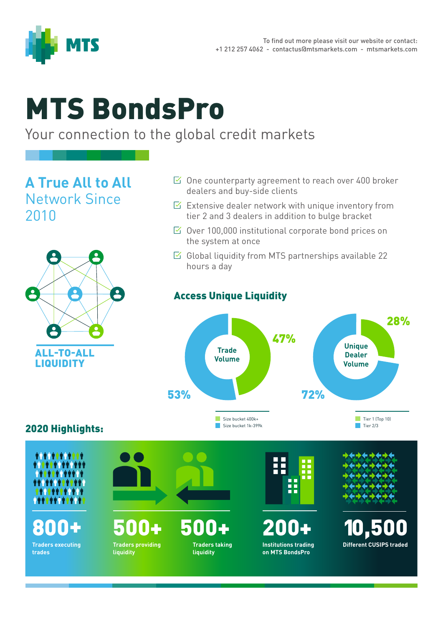

# MTS BondsPro

## Your connection to the global credit markets

**A True All to All**  Network Since 2010



#### $\boxtimes$  One counterparty agreement to reach over 400 broker dealers and buy-side clients

- $\triangleright$  Extensive dealer network with unique inventory from tier 2 and 3 dealers in addition to bulge bracket
- $\boxtimes$  Over 100,000 institutional corporate bond prices on the system at once
- $\boxtimes$  Global liquidity from MTS partnerships available 22 hours a day

## Access Unique Liquidity



### 2020 Highlights: